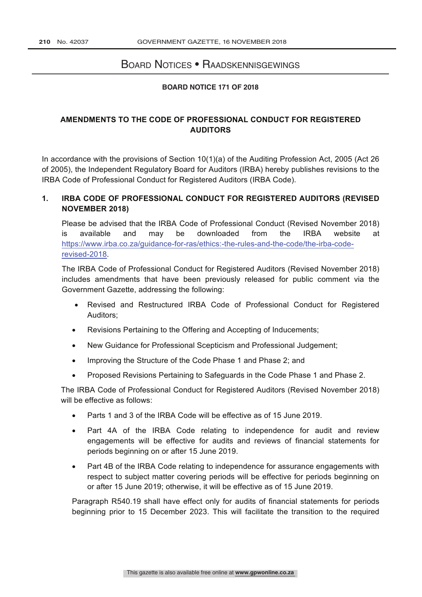## Board Notices • Raadskennisgewings

## **BOARD NOTICE 171 OF 2018**

## **AMENDMENTS TO THE CODE OF PROFESSIONAL CONDUCT FOR REGISTERED AUDITORS**

In accordance with the provisions of Section 10(1)(a) of the Auditing Profession Act, 2005 (Act 26 of 2005), the Independent Regulatory Board for Auditors (IRBA) hereby publishes revisions to the IRBA Code of Professional Conduct for Registered Auditors (IRBA Code).

## **1. IRBA CODE OF PROFESSIONAL CONDUCT FOR REGISTERED AUDITORS (REVISED NOVEMBER 2018)**

Please be advised that the IRBA Code of Professional Conduct (Revised November 2018) is available and may be downloaded from the IRBA website at https://www.irba.co.za/guidance-for-ras/ethics:-the-rules-and-the-code/the-irba-coderevised-2018.

The IRBA Code of Professional Conduct for Registered Auditors (Revised November 2018) includes amendments that have been previously released for public comment via the Government Gazette, addressing the following:

- Revised and Restructured IRBA Code of Professional Conduct for Registered Auditors;
- Revisions Pertaining to the Offering and Accepting of Inducements;
- New Guidance for Professional Scepticism and Professional Judgement;
- Improving the Structure of the Code Phase 1 and Phase 2; and
- Proposed Revisions Pertaining to Safeguards in the Code Phase 1 and Phase 2.

The IRBA Code of Professional Conduct for Registered Auditors (Revised November 2018) will be effective as follows:

- Parts 1 and 3 of the IRBA Code will be effective as of 15 June 2019.
- Part 4A of the IRBA Code relating to independence for audit and review engagements will be effective for audits and reviews of financial statements for periods beginning on or after 15 June 2019.
- Part 4B of the IRBA Code relating to independence for assurance engagements with respect to subject matter covering periods will be effective for periods beginning on or after 15 June 2019; otherwise, it will be effective as of 15 June 2019.

Paragraph R540.19 shall have effect only for audits of financial statements for periods beginning prior to 15 December 2023. This will facilitate the transition to the required